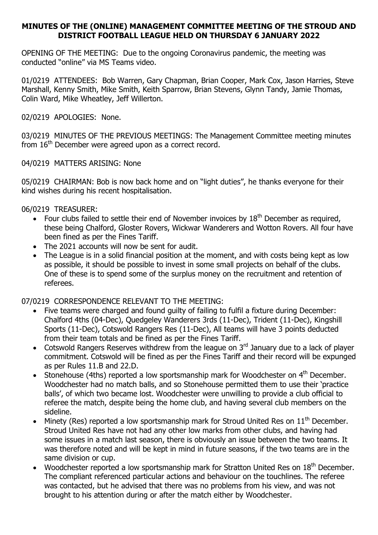## MINUTES OF THE (ONLINE) MANAGEMENT COMMITTEE MEETING OF THE STROUD AND DISTRICT FOOTBALL LEAGUE HELD ON THURSDAY 6 JANUARY 2022

OPENING OF THE MEETING: Due to the ongoing Coronavirus pandemic, the meeting was conducted "online" via MS Teams video.

01/0219 ATTENDEES: Bob Warren, Gary Chapman, Brian Cooper, Mark Cox, Jason Harries, Steve Marshall, Kenny Smith, Mike Smith, Keith Sparrow, Brian Stevens, Glynn Tandy, Jamie Thomas, Colin Ward, Mike Wheatley, Jeff Willerton.

02/0219 APOLOGIES: None.

03/0219 MINUTES OF THE PREVIOUS MEETINGS: The Management Committee meeting minutes from  $16<sup>th</sup>$  December were agreed upon as a correct record.

04/0219 MATTERS ARISING: None

05/0219 CHAIRMAN: Bob is now back home and on "light duties", he thanks everyone for their kind wishes during his recent hospitalisation.

06/0219 TREASURER:

- Four clubs failed to settle their end of November invoices by  $18<sup>th</sup>$  December as required, these being Chalford, Gloster Rovers, Wickwar Wanderers and Wotton Rovers. All four have been fined as per the Fines Tariff.
- The 2021 accounts will now be sent for audit.
- The League is in a solid financial position at the moment, and with costs being kept as low as possible, it should be possible to invest in some small projects on behalf of the clubs. One of these is to spend some of the surplus money on the recruitment and retention of referees.

07/0219 CORRESPONDENCE RELEVANT TO THE MEETING:

- Five teams were charged and found guilty of failing to fulfil a fixture during December: Chalford 4ths (04-Dec), Quedgeley Wanderers 3rds (11-Dec), Trident (11-Dec), Kingshill Sports (11-Dec), Cotswold Rangers Res (11-Dec), All teams will have 3 points deducted from their team totals and be fined as per the Fines Tariff.
- Cotswold Rangers Reserves withdrew from the league on  $3<sup>rd</sup>$  January due to a lack of player commitment. Cotswold will be fined as per the Fines Tariff and their record will be expunged as per Rules 11.B and 22.D.
- Stonehouse (4ths) reported a low sportsmanship mark for Woodchester on  $4<sup>th</sup>$  December. Woodchester had no match balls, and so Stonehouse permitted them to use their 'practice balls', of which two became lost. Woodchester were unwilling to provide a club official to referee the match, despite being the home club, and having several club members on the sideline.
- Minety (Res) reported a low sportsmanship mark for Stroud United Res on  $11<sup>th</sup>$  December. Stroud United Res have not had any other low marks from other clubs, and having had some issues in a match last season, there is obviously an issue between the two teams. It was therefore noted and will be kept in mind in future seasons, if the two teams are in the same division or cup.
- Woodchester reported a low sportsmanship mark for Stratton United Res on  $18<sup>th</sup>$  December. The compliant referenced particular actions and behaviour on the touchlines. The referee was contacted, but he advised that there was no problems from his view, and was not brought to his attention during or after the match either by Woodchester.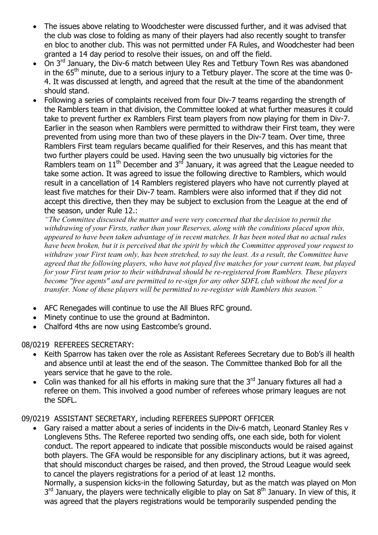- The issues above relating to Woodchester were discussed further, and it was advised that the club was close to folding as many of their players had also recently sought to transfer en bloc to another club. This was not permitted under FA Rules, and Woodchester had been granted a 14 day period to resolve their issues, on and off the field.
- On 3<sup>rd</sup> January, the Div-6 match between Uley Res and Tetbury Town Res was abandoned in the  $65<sup>th</sup>$  minute, due to a serious injury to a Tetbury player. The score at the time was 0-4. It was discussed at length, and agreed that the result at the time of the abandonment should stand.
- Following a series of complaints received from four Div-7 teams regarding the strength of the Ramblers team in that division, the Committee looked at what further measures it could take to prevent further ex Ramblers First team players from now playing for them in Div-7. Earlier in the season when Ramblers were permitted to withdraw their First team, they were prevented from using more than two of these players in the Div-7 team. Over time, three Ramblers First team regulars became qualified for their Reserves, and this has meant that two further players could be used. Having seen the two unusually big victories for the Ramblers team on  $11<sup>th</sup>$  December and  $3<sup>rd</sup>$  January, it was agreed that the League needed to take some action. It was agreed to issue the following directive to Ramblers, which would result in a cancellation of 14 Ramblers registered players who have not currently played at least five matches for their Div-7 team. Ramblers were also informed that if they did not accept this directive, then they may be subject to exclusion from the League at the end of the season, under Rule 12.:

"The Committee discussed the matter and were very concerned that the decision to permit the withdrawing of your Firsts, rather than your Reserves, along with the conditions placed upon this, appeared to have been taken advantage of in recent matches. It has been noted that no actual rules have been broken, but it is perceived that the spirit by which the Committee approved your request to withdraw your First team only, has been stretched, to say the least. As a result, the Committee have agreed that the following players, who have not played five matches for your current team, but played for your First team prior to their withdrawal should be re-registered from Ramblers. These players become "free agents" and are permitted to re-sign for any other SDFL club without the need for a transfer. None of these players will be permitted to re-register with Ramblers this season."

- AFC Renegades will continue to use the All Blues RFC ground.
- Minety continue to use the ground at Badminton.
- Chalford 4ths are now using Eastcombe's ground.

## 08/0219 REFEREES SECRETARY:

- Keith Sparrow has taken over the role as Assistant Referees Secretary due to Bob's ill health and absence until at least the end of the season. The Committee thanked Bob for all the years service that he gave to the role.
- $\bullet$  Colin was thanked for all his efforts in making sure that the 3<sup>rd</sup> January fixtures all had a referee on them. This involved a good number of referees whose primary leagues are not the SDFL.

## 09/0219 ASSISTANT SECRETARY, including REFEREES SUPPORT OFFICER

 Gary raised a matter about a series of incidents in the Div-6 match, Leonard Stanley Res v Longlevens 5ths. The Referee reported two sending offs, one each side, both for violent conduct. The report appeared to indicate that possible misconducts would be raised against both players. The GFA would be responsible for any disciplinary actions, but it was agreed, that should misconduct charges be raised, and then proved, the Stroud League would seek to cancel the players registrations for a period of at least 12 months.

Normally, a suspension kicks-in the following Saturday, but as the match was played on Mon 3<sup>rd</sup> January, the players were technically eligible to play on Sat 8<sup>th</sup> January. In view of this, it was agreed that the players registrations would be temporarily suspended pending the